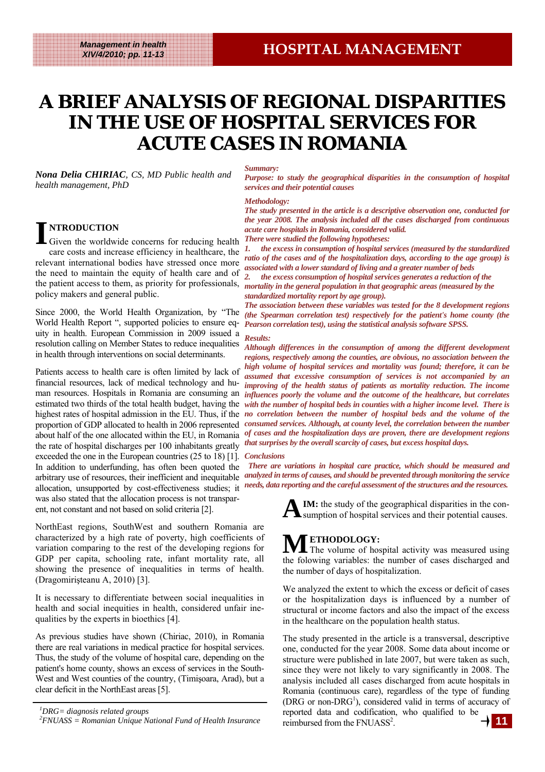# **A BRIEF ANALYSIS OF REGIONAL DISPARITIES IN THE USE OF HOSPITAL SERVICES FOR IN THE USE OF HOSPITAL SERVICES FOR IN THE USE OF HOSPITAL SERVICES FOR ACUTE CASES IN ROMANIA**

*Nona Delia CHIRIAC, CS, MD Public health and health management, PhD* 

### *Summary:*

*Purpose: to study the geographical disparities in the consumption of hospital services and their potential causes* 

## *Methodology:*

*The study presented in the article is a descriptive observation one, conducted for the year 2008. The analysis included all the cases discharged from continuous acute care hospitals in Romania, considered valid. There were studied the following hypotheses:* 

*1. the excess in consumption of hospital services (measured by the standardized ratio of the cases and of the hospitalization days, according to the age group) is associated with a lower standard of living and a greater number of beds* 

the patient access to them, as priority for professionals, *mortality in the general population in that geographic areas (measured by the 2. the excess consumption of hospital services generates a reduction of the standardized mortality report by age group).* 

*The association between these variables was tested for the 8 development regions (the Spearman correlation test) respectively for the patient's home county (the Pearson correlation test), using the statistical analysis software SPSS.* 

## *Results:*

man resources. Hospitals in Romania are consuming an *influences poorly the volume and the outcome of the healthcare, but correlates*  estimated two thirds of the total health budget, having the *with the number of hospital beds in counties with a higher income level. There is* highest rates of hospital admission in the EU. Thus, if the *no correlation between the number of hospital beds and the volume of the* proportion of GDP allocated to health in 2006 represented *consumed services. Although, at county level, the correlation between the number* about half of the one allocated within the EU, in Romania *of cases and the hospitalization days are proven, there are development regions Although differences in the consumption of among the different development regions, respectively among the counties, are obvious, no association between the high volume of hospital services and mortality was found; therefore, it can be assumed that excessive consumption of services is not accompanied by an improving of the health status of patients as mortality reduction. The income that surprises by the overall scarcity of cases, but excess hospital days.* 

arbitrary use of resources, their inefficient and inequitable *analyzed in terms of causes, and should be prevented through monitoring the service There are variations in hospital care practice, which should be measured and* 

> **IM:** the study of the geographical disparities in the consumption of hospital services and their potential causes.

**METHODOLOGY:** The volume of hospital activity was measured using the folowing variables: the number of cases discharged and the number of days of hospitalization.

We analyzed the extent to which the excess or deficit of cases or the hospitalization days is influenced by a number of structural or income factors and also the impact of the excess in the healthcare on the population health status.

The study presented in the article is a transversal, descriptive one, conducted for the year 2008. Some data about income or structure were published in late 2007, but were taken as such, since they were not likely to vary significantly in 2008. The analysis included all cases discharged from acute hospitals in Romania (continuous care), regardless of the type of funding (DRG or non-DRG<sup>1</sup>), considered valid in terms of accuracy of reported data and codification, who qualified to be reimbursed from the FNUASS<sup>2</sup>. **11**

## **I NTRODUCTION**

Given the worldwide concerns for reducing health care costs and increase efficiency in healthcare, the relevant international bodies have stressed once more the need to maintain the equity of health care and of policy makers and general public.

Since 2000, the World Health Organization, by "The World Health Report ", supported policies to ensure equity in health. European Commission in 2009 issued a resolution calling on Member States to reduce inequalities in health through interventions on social determinants.

Patients access to health care is often limited by lack of financial resources, lack of medical technology and huthe rate of hospital discharges per 100 inhabitants greatly exceeded the one in the European countries (25 to 18) [1]. *Conclusions*  In addition to underfunding, has often been quoted the allocation, unsupported by cost-effectiveness studies; it needs, data reporting and the careful assessment of the structures and the resources. was also stated that the allocation process is not transparent, not constant and not based on solid criteria [2].

NorthEast regions, SouthWest and southern Romania are characterized by a high rate of poverty, high coefficients of variation comparing to the rest of the developing regions for GDP per capita, schooling rate, infant mortality rate, all showing the presence of inequalities in terms of health. (Dragomirişteanu A, 2010) [3].

It is necessary to differentiate between social inequalities in health and social inequities in health, considered unfair inequalities by the experts in bioethics [4].

As previous studies have shown (Chiriac, 2010), in Romania there are real variations in medical practice for hospital services. Thus, the study of the volume of hospital care, depending on the patient's home county, shows an excess of services in the South-West and West counties of the country, (Timisoara, Arad), but a clear deficit in the NorthEast areas [5].

*<sup>1</sup> DRG= diagnosis related groups* 

*<sup>2</sup> FNUASS = Romanian Unique National Fund of Health Insurance*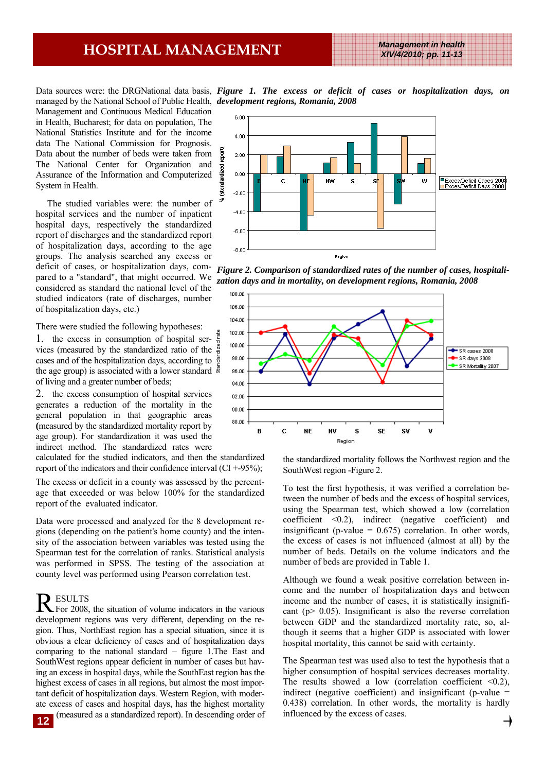## **HOSPITAL MANAGEMENT** *Management in health*

*XIV/4/2010; pp. 11-13* 

managed by the National School of Public Health, *development regions, Romania, 2008*  Management and Continuous Medical Education in Health, Bucharest; for data on population, The National Statistics Institute and for the income data The National Commission for Prognosis. Data about the number of beds were taken from The National Center for Organization and Assurance of the Information and Computerized System in Health.

 The studied variables were: the number of hospital services and the number of inpatient hospital days, respectively the standardized report of discharges and the standardized report of hospitalization days, according to the age groups. The analysis searched any excess or deficit of cases, or hospitalization days, compared to a "standard", that might occurred. We considered as standard the national level of the studied indicators (rate of discharges, number of hospitalization days, etc.)

There were studied the following hypotheses:

1. the excess in consumption of hospital services (measured by the standardized ratio of the cases and of the hospitalization days, according to the age group) is associated with a lower standard of living and a greater number of beds;

2. the excess consumption of hospital services generates a reduction of the mortality in the general population in that geographic areas **(**measured by the standardized mortality report by age group). For standardization it was used the indirect method. The standardized rates were

calculated for the studied indicators, and then the standardized report of the indicators and their confidence interval  $(CI + 95\%)$ ;

The excess or deficit in a county was assessed by the percentage that exceeded or was below 100% for the standardized report of the evaluated indicator.

Data were processed and analyzed for the 8 development regions (depending on the patient's home county) and the intensity of the association between variables was tested using the Spearman test for the correlation of ranks. Statistical analysis was performed in SPSS. The testing of the association at county level was performed using Pearson correlation test.

R ESULTS<br>For 2008, the situation of volume indicators in the various development regions was very different, depending on the region. Thus, NorthEast region has a special situation, since it is obvious a clear deficiency of cases and of hospitalization days comparing to the national standard – figure 1.The East and SouthWest regions appear deficient in number of cases but having an excess in hospital days, while the SouthEast region has the highest excess of cases in all regions, but almost the most important deficit of hospitalization days. Western Region, with moderate excess of cases and hospital days, has the highest mortality (measured as a standardized report). In descending order of

Data sources were: the DRGNational data basis, *Figure 1. The excess or deficit of cases or hospitalization days, on* 



*Figure 2. Comparison of standardized rates of the number of cases, hospitalization days and in mortality, on development regions, Romania, 2008* 



the standardized mortality follows the Northwest region and the SouthWest region -Figure 2.

To test the first hypothesis, it was verified a correlation between the number of beds and the excess of hospital services, using the Spearman test, which showed a low (correlation coefficient <0.2), indirect (negative coefficient) and insignificant (p-value  $= 0.675$ ) correlation. In other words, the excess of cases is not influenced (almost at all) by the number of beds. Details on the volume indicators and the number of beds are provided in Table 1.

Although we found a weak positive correlation between income and the number of hospitalization days and between income and the number of cases, it is statistically insignificant ( $p$   $>$  0.05). Insignificant is also the reverse correlation between GDP and the standardized mortality rate, so, although it seems that a higher GDP is associated with lower hospital mortality, this cannot be said with certainty.

The Spearman test was used also to test the hypothesis that a higher consumption of hospital services decreases mortality. The results showed a low (correlation coefficient  $\leq 0.2$ ), indirect (negative coefficient) and insignificant (p-value  $=$ 0.438) correlation. In other words, the mortality is hardly influenced by the excess of cases.